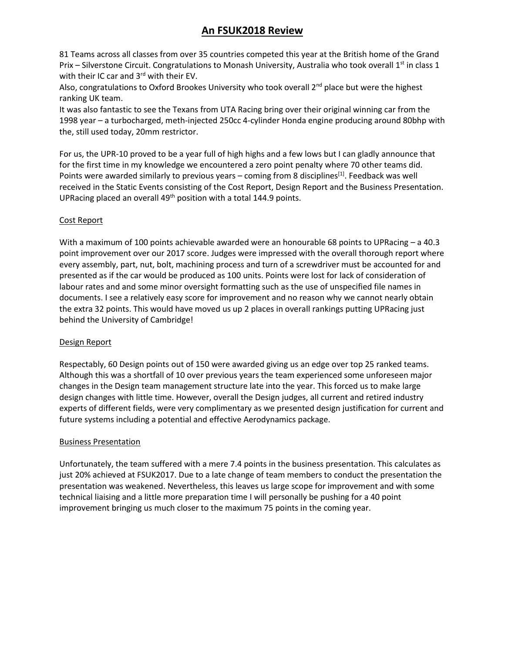# **An FSUK2018 Review**

81 Teams across all classes from over 35 countries competed this year at the British home of the Grand Prix – Silverstone Circuit. Congratulations to Monash University, Australia who took overall 1st in class 1 with their IC car and  $3<sup>rd</sup>$  with their EV.

Also, congratulations to Oxford Brookes University who took overall  $2<sup>nd</sup>$  place but were the highest ranking UK team.

It was also fantastic to see the Texans from UTA Racing bring over their original winning car from the 1998 year – a turbocharged, meth-injected 250cc 4-cylinder Honda engine producing around 80bhp with the, still used today, 20mm restrictor.

For us, the UPR-10 proved to be a year full of high highs and a few lows but I can gladly announce that for the first time in my knowledge we encountered a zero point penalty where 70 other teams did. Points were awarded similarly to previous years – coming from 8 disciplines<sup>[1]</sup>. Feedback was well received in the Static Events consisting of the Cost Report, Design Report and the Business Presentation. UPRacing placed an overall  $49<sup>th</sup>$  position with a total 144.9 points.

### Cost Report

With a maximum of 100 points achievable awarded were an honourable 68 points to UPRacing – a 40.3 point improvement over our 2017 score. Judges were impressed with the overall thorough report where every assembly, part, nut, bolt, machining process and turn of a screwdriver must be accounted for and presented as if the car would be produced as 100 units. Points were lost for lack of consideration of labour rates and and some minor oversight formatting such as the use of unspecified file names in documents. I see a relatively easy score for improvement and no reason why we cannot nearly obtain the extra 32 points. This would have moved us up 2 places in overall rankings putting UPRacing just behind the University of Cambridge!

### Design Report

Respectably, 60 Design points out of 150 were awarded giving us an edge over top 25 ranked teams. Although this was a shortfall of 10 over previous years the team experienced some unforeseen major changes in the Design team management structure late into the year. This forced us to make large design changes with little time. However, overall the Design judges, all current and retired industry experts of different fields, were very complimentary as we presented design justification for current and future systems including a potential and effective Aerodynamics package.

### Business Presentation

Unfortunately, the team suffered with a mere 7.4 points in the business presentation. This calculates as just 20% achieved at FSUK2017. Due to a late change of team members to conduct the presentation the presentation was weakened. Nevertheless, this leaves us large scope for improvement and with some technical liaising and a little more preparation time I will personally be pushing for a 40 point improvement bringing us much closer to the maximum 75 points in the coming year.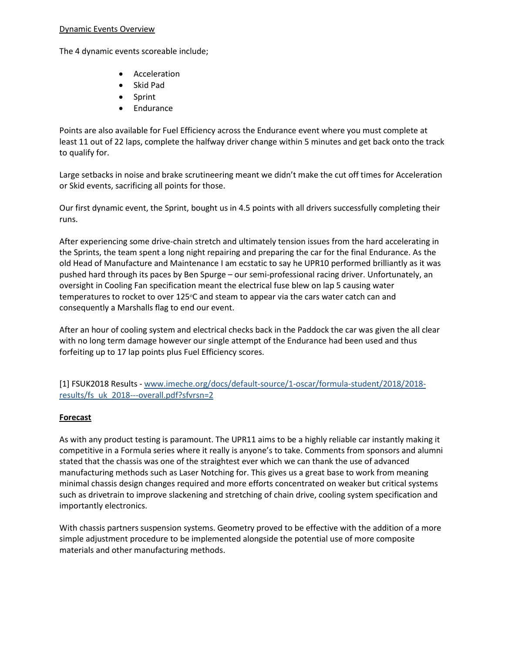#### Dynamic Events Overview

The 4 dynamic events scoreable include;

- Acceleration
- Skid Pad
- Sprint
- Endurance

Points are also available for Fuel Efficiency across the Endurance event where you must complete at least 11 out of 22 laps, complete the halfway driver change within 5 minutes and get back onto the track to qualify for.

Large setbacks in noise and brake scrutineering meant we didn't make the cut off times for Acceleration or Skid events, sacrificing all points for those.

Our first dynamic event, the Sprint, bought us in 4.5 points with all drivers successfully completing their runs.

After experiencing some drive-chain stretch and ultimately tension issues from the hard accelerating in the Sprints, the team spent a long night repairing and preparing the car for the final Endurance. As the old Head of Manufacture and Maintenance I am ecstatic to say he UPR10 performed brilliantly as it was pushed hard through its paces by Ben Spurge – our semi-professional racing driver. Unfortunately, an oversight in Cooling Fan specification meant the electrical fuse blew on lap 5 causing water temperatures to rocket to over 125°C and steam to appear via the cars water catch can and consequently a Marshalls flag to end our event.

After an hour of cooling system and electrical checks back in the Paddock the car was given the all clear with no long term damage however our single attempt of the Endurance had been used and thus forfeiting up to 17 lap points plus Fuel Efficiency scores.

[1] FSUK2018 Results - [www.imeche.org/docs/default-source/1-oscar/formula-student/2018/2018](http://www.imeche.org/docs/default-source/1-oscar/formula-student/2018/2018-results/fs_uk_2018---overall.pdf?sfvrsn=2) [results/fs\\_uk\\_2018---overall.pdf?sfvrsn=2](http://www.imeche.org/docs/default-source/1-oscar/formula-student/2018/2018-results/fs_uk_2018---overall.pdf?sfvrsn=2)

## **Forecast**

As with any product testing is paramount. The UPR11 aims to be a highly reliable car instantly making it competitive in a Formula series where it really is anyone's to take. Comments from sponsors and alumni stated that the chassis was one of the straightest ever which we can thank the use of advanced manufacturing methods such as Laser Notching for. This gives us a great base to work from meaning minimal chassis design changes required and more efforts concentrated on weaker but critical systems such as drivetrain to improve slackening and stretching of chain drive, cooling system specification and importantly electronics.

With chassis partners suspension systems. Geometry proved to be effective with the addition of a more simple adjustment procedure to be implemented alongside the potential use of more composite materials and other manufacturing methods.